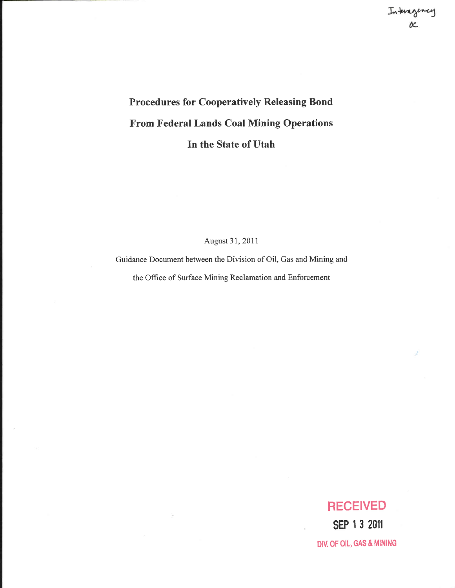# Procedures for Cooperatively Releasing Bond From Federal Lands Coal Mining Operations In the State of Utah

August 3I,20ll

Guidance Document between the Division of Oil, Gas and Mining and

the Office of Surface Mining Reclamation and Enforcement

## **RECEIVED**

sEP I 3 20fl DIV. OF OIL, GAS & MINING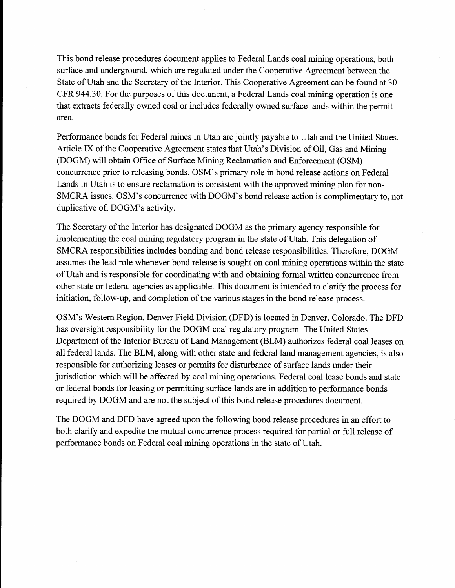This bond release procedures document applies to Federal Lands coal mining operations, both surface and underground, which are regulated under the Cooperative Agreement between the State of Utah and the Secretary of the Interior. This Cooperative Agreement can be found at 30 CFR 944.30. For the purposes of this document, a Federal Lands coal mining operation is one that extracts federally owned coal or includes federally owned surface lands within the permit area.

Performance bonds for Federal mines in Utah are jointly payable to Utah and the United States. Article IX of the Cooperative Agreement states that Utah's Division of Oil, Gas and Mining (DOGM) will obtain Office of Surface Mining Reclamation and Enforcement (OSM) concurrence prior to releasing bonds. OSM's primary role in bond release actions on Federal Lands in Utah is to ensure reclamation is consistent with the approved mining plan for non-SMCRA issues. OSM's concurrence with DOGM's bond release action is complimentary to, not duplicative of, DOGM's activity.

The Secretary of the Interior has designated DOGM as the primary agency responsible for implementing the coal mining regulatory program in the state of Utah. This delegation of SMCRA responsibilities includes bonding and bond release responsibilities. Therefore, DOGM assumes the lead role whenever bond release is sought on coal mining operations within the state of Utah and is responsible for coordinating with and obtaining formal written concurrence from other state or federal agencies as applicable. This document is intended to clarify the process for initiation, follow-up, and completion of the various stages in the bond release process.

OSM's Western Region, Denver Field Division (DFD) is located in Denver, Colorado. The DFD has oversight responsibility for the DOGM coal regulatory program. The United States Department of the Interior Bureau of Land Management (BLM) authorizes federal coal leases on all federal lands. The BLM, along with other state and federal land management agencies, is also responsible for authorizing leases or permits for disturbance of surface lands under their jurisdiction which will be affected by coal mining operations. Federal coal lease bonds and state or federal bonds for leasing or permitting surface lands are in addition to performance bonds required by DOGM and are not the subject of this bond release procedures document.

The DOGM and DFD have agreed upon the following bond release procedures in an effort to both clarify and expedite the mutual concurrence process required for partial or full release of performance bonds on Federal coal mining operations in the state of Utah.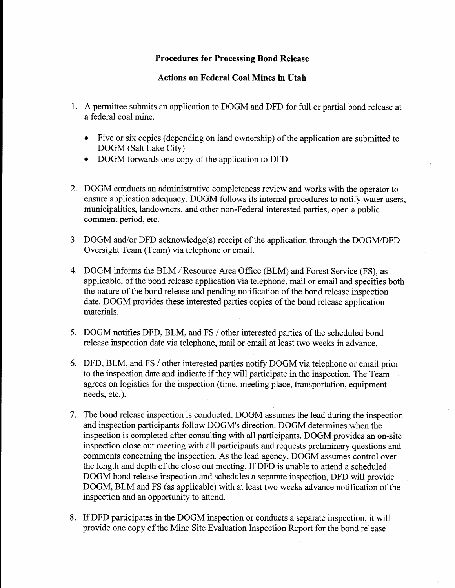#### Procedures for Processing Bond Release

#### Actions on Federal Coal Mines in Utah

- 1. A permittee submits an application to DOGM and DFD for full or partial bond release at a federal coal mine.
	- . Five or six copies (depending on land ownership) of the application are submiffed to DOGM (Salt Lake City)
	- . DOGM forwards one copy of the application to DFD
- 2. DOGM conducts an administrative completeness review and works with the operator to ensure application adequacy. DOGM follows its internal procedures to notify water users, municipalities, landowners, and other non-Federal interested parties, open a public comment period, etc.
- 3. DOGM and/or DFD acknowledge(s) receipt of the application through the DOGM/DFD Oversight Team (Team) via telephone or email
- 4. DOGM informs the BLM/Resource Area Office (BLM) and Forest Service (FS), as applicable, of the bond release application via telephone, mail or email and specifies both the nature of the bond release and pending notification of the bond release inspection date. DOGM provides these interested parties copies of the bond release application materials.
- 5. DOGM notifies DFD, BLM, and FS / other interested parties of the scheduled bond release inspection date via telephone, mail or email at least two weeks in advance.
- 6. DFD, BLM, and FS / other interested parties notiff DOGM via telephone or email prior to the inspection date and indicate if they will participate in the inspection. The Team agrees on logistics for the inspection (time, meeting place, transportation, equipment needs, etc.).
- 7. The bond release inspection is conducted. DOGM assumes the lead during the inspection and inspection participants follow DOGM's direction. DOGM determines when the inspection is completed after consulting with all participants. DOGM provides an on-site inspection close out meeting with all participants and requests preliminary questions and comments concerning the inspection. As the lead agency, DOGM assumes control over the length and depth of the close out meeting. If DFD is unable to attend a scheduled DOGM bond release inspection and schedules a separate inspection, DFD will provide DOGM, BLM and FS (as applicable) with at least two weeks advance notification of the inspection and an opportunity to affend.
- 8. If DFD participates in the DOGM inspection or conducts a separate inspection, it will provide one copy of the Mine Site Evaluation Inspection Report for the bond release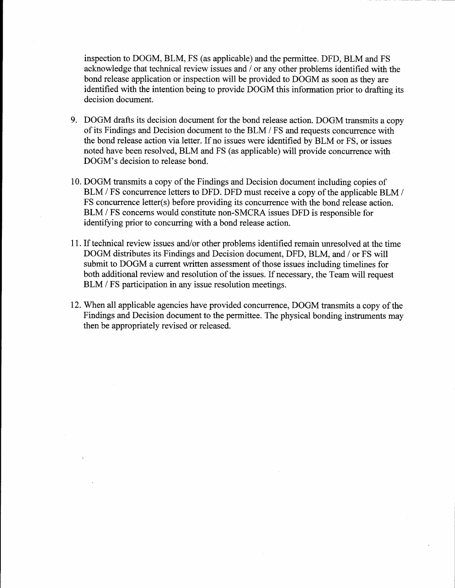inspection to DOGM, BLM, FS (as applicable) and the permittee. DFD, BLM and FS acknowledge that technical review issues and / or any other problems identified with the bond release application or inspection will be provided to DOGM as soon as they are identified with the intention being to provide DOGM this information prior to drafting its decision document.

- 9. DOGM drafts its decision document for the bond release action. DOGM transmits a copy of its Findings and Decision document to the BLM / FS and requests concurrence with the bond release action via letter. If no issues were identified by BLM or FS, or issues noted have been resolved, BLM and FS (as applicable) will provide concurrence with DOGM's decision to release bond.
- 10. DOGM transmits a copy of the Findings and Decision document including copies of BLM / FS concurrence letters to DFD. DFD must receive a copy of the applicable BLM / FS concurrence letter(s) before providing its concurrence with the bond release action. BLM / FS concerns would constitute non-SMCRA issues DFD is responsible for identifying prior to concurring with a bond release action.
- 11. If technical review issues and/or other problems identified remain unresolved at the time DOGM distributes its Findings and Decision document, DFD, BLM, and / or FS will submit to DOGM a current written assessment of those issues including timelines for both additional review and resolution of the issues. If necessary, the Team will request BLM / FS participation in any issue resolution meetings.
- 12. When all applicable agencies have provided concurrence, DOGM transmits a copy of the Findings and Decision document to the permittee. The physical bonding instruments may then be appropriately revised or released.